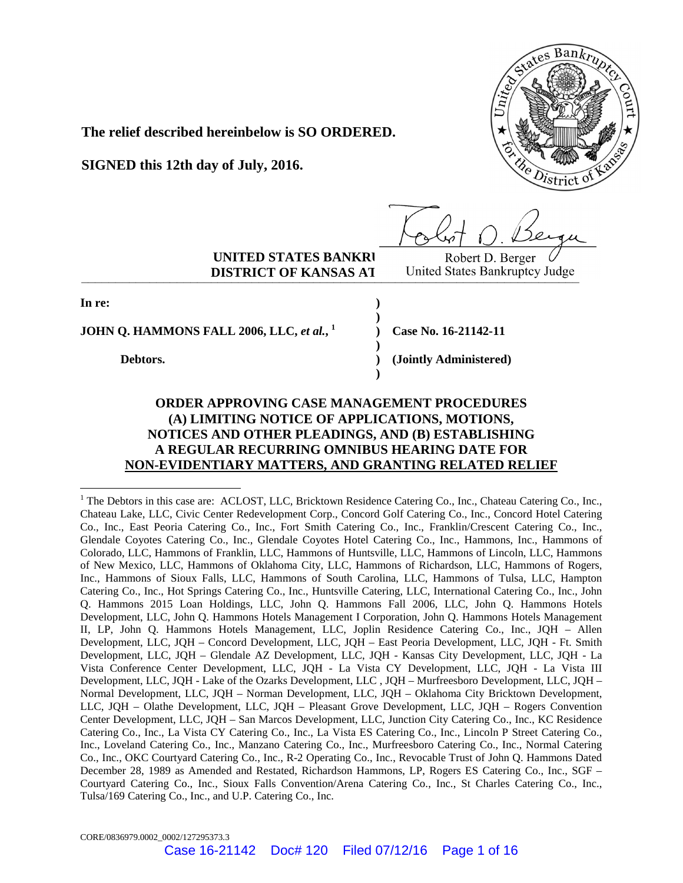

**The relief described hereinbelow is SO ORDERED.**

**SIGNED this 12th day of July, 2016.**

**UNITED STATES BANKRI** Robert D. Berger  $\bigcup_{\text{R}}$  **DISTRICT OF KANSAS AT** United States Bankruptcy Judge **DISTRICT OF KANSAS AT** United States Bankruptcy Judge

**In re:** 

-

**JOHN Q. HAMMONS FALL 2006, LLC,** *et al.***, 1**

**Debtors.** 

**Case No. 16-21142-11** 

**(Jointly Administered)** 

# **ORDER APPROVING CASE MANAGEMENT PROCEDURES (A) LIMITING NOTICE OF APPLICATIONS, MOTIONS, NOTICES AND OTHER PLEADINGS, AND (B) ESTABLISHING A REGULAR RECURRING OMNIBUS HEARING DATE FOR NON-EVIDENTIARY MATTERS, AND GRANTING RELATED RELIEF**

**) ) ) ) ) )** 

<sup>&</sup>lt;sup>1</sup> The Debtors in this case are: ACLOST, LLC, Bricktown Residence Catering Co., Inc., Chateau Catering Co., Inc., Chateau Lake, LLC, Civic Center Redevelopment Corp., Concord Golf Catering Co., Inc., Concord Hotel Catering Co., Inc., East Peoria Catering Co., Inc., Fort Smith Catering Co., Inc., Franklin/Crescent Catering Co., Inc., Glendale Coyotes Catering Co., Inc., Glendale Coyotes Hotel Catering Co., Inc., Hammons, Inc., Hammons of Colorado, LLC, Hammons of Franklin, LLC, Hammons of Huntsville, LLC, Hammons of Lincoln, LLC, Hammons of New Mexico, LLC, Hammons of Oklahoma City, LLC, Hammons of Richardson, LLC, Hammons of Rogers, Inc., Hammons of Sioux Falls, LLC, Hammons of South Carolina, LLC, Hammons of Tulsa, LLC, Hampton Catering Co., Inc., Hot Springs Catering Co., Inc., Huntsville Catering, LLC, International Catering Co., Inc., John Q. Hammons 2015 Loan Holdings, LLC, John Q. Hammons Fall 2006, LLC, John Q. Hammons Hotels Development, LLC, John Q. Hammons Hotels Management I Corporation, John Q. Hammons Hotels Management II, LP, John Q. Hammons Hotels Management, LLC, Joplin Residence Catering Co., Inc., JQH – Allen Development, LLC, JQH – Concord Development, LLC, JQH – East Peoria Development, LLC, JQH - Ft. Smith Development, LLC, JQH – Glendale AZ Development, LLC, JQH - Kansas City Development, LLC, JQH - La Vista Conference Center Development, LLC, JQH - La Vista CY Development, LLC, JQH - La Vista III Development, LLC, JQH - Lake of the Ozarks Development, LLC , JQH – Murfreesboro Development, LLC, JQH – Normal Development, LLC, JQH – Norman Development, LLC, JQH – Oklahoma City Bricktown Development, LLC, JQH – Olathe Development, LLC, JQH – Pleasant Grove Development, LLC, JQH – Rogers Convention Center Development, LLC, JQH – San Marcos Development, LLC, Junction City Catering Co., Inc., KC Residence Catering Co., Inc., La Vista CY Catering Co., Inc., La Vista ES Catering Co., Inc., Lincoln P Street Catering Co., Inc., Loveland Catering Co., Inc., Manzano Catering Co., Inc., Murfreesboro Catering Co., Inc., Normal Catering Co., Inc., OKC Courtyard Catering Co., Inc., R-2 Operating Co., Inc., Revocable Trust of John Q. Hammons Dated December 28, 1989 as Amended and Restated, Richardson Hammons, LP, Rogers ES Catering Co., Inc., SGF – Courtyard Catering Co., Inc., Sioux Falls Convention/Arena Catering Co., Inc., St Charles Catering Co., Inc., Tulsa/169 Catering Co., Inc., and U.P. Catering Co., Inc.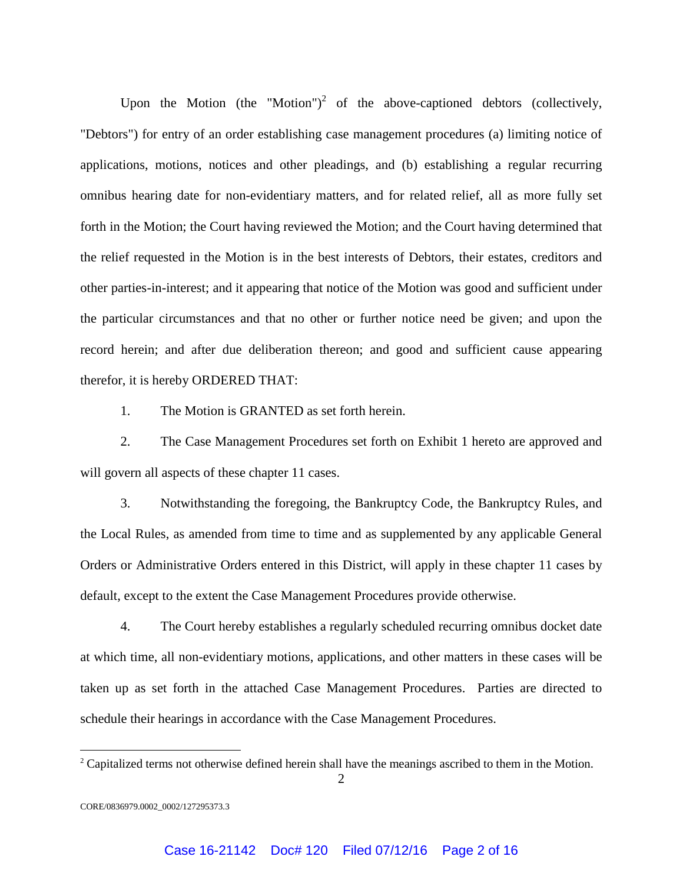Upon the Motion (the "Motion")<sup>2</sup> of the above-captioned debtors (collectively, "Debtors") for entry of an order establishing case management procedures (a) limiting notice of applications, motions, notices and other pleadings, and (b) establishing a regular recurring omnibus hearing date for non-evidentiary matters, and for related relief, all as more fully set forth in the Motion; the Court having reviewed the Motion; and the Court having determined that the relief requested in the Motion is in the best interests of Debtors, their estates, creditors and other parties-in-interest; and it appearing that notice of the Motion was good and sufficient under the particular circumstances and that no other or further notice need be given; and upon the record herein; and after due deliberation thereon; and good and sufficient cause appearing therefor, it is hereby ORDERED THAT:

1. The Motion is GRANTED as set forth herein.

2. The Case Management Procedures set forth on Exhibit 1 hereto are approved and will govern all aspects of these chapter 11 cases.

3. Notwithstanding the foregoing, the Bankruptcy Code, the Bankruptcy Rules, and the Local Rules, as amended from time to time and as supplemented by any applicable General Orders or Administrative Orders entered in this District, will apply in these chapter 11 cases by default, except to the extent the Case Management Procedures provide otherwise.

4. The Court hereby establishes a regularly scheduled recurring omnibus docket date at which time, all non-evidentiary motions, applications, and other matters in these cases will be taken up as set forth in the attached Case Management Procedures. Parties are directed to schedule their hearings in accordance with the Case Management Procedures.

<u>.</u>

 $2^2$  Capitalized terms not otherwise defined herein shall have the meanings ascribed to them in the Motion.

CORE/0836979.0002\_0002/127295373.3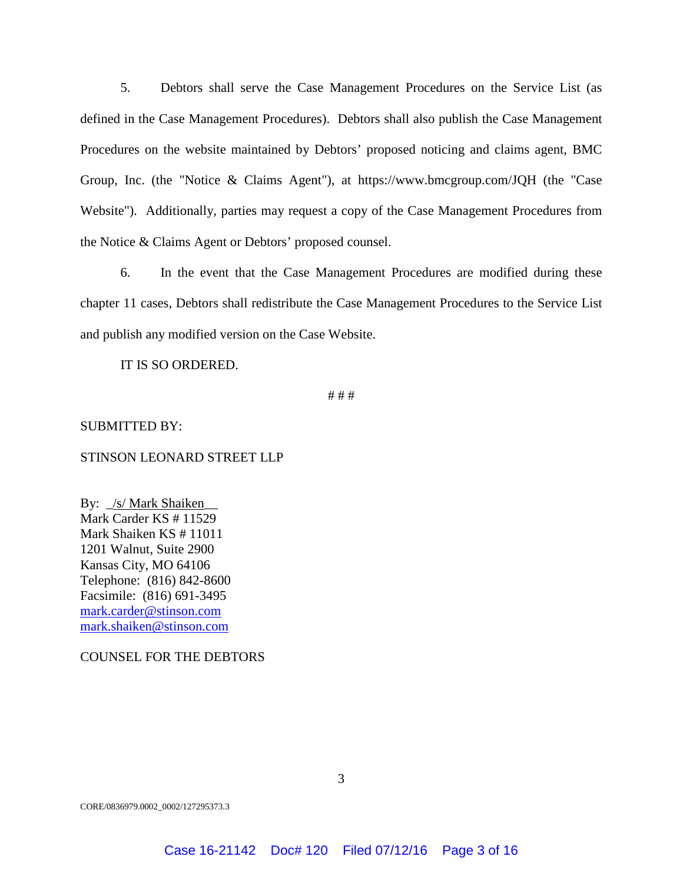5. Debtors shall serve the Case Management Procedures on the Service List (as defined in the Case Management Procedures). Debtors shall also publish the Case Management Procedures on the website maintained by Debtors' proposed noticing and claims agent, BMC Group, Inc. (the "Notice & Claims Agent"), at https://www.bmcgroup.com/JQH (the "Case Website"). Additionally, parties may request a copy of the Case Management Procedures from the Notice & Claims Agent or Debtors' proposed counsel.

6. In the event that the Case Management Procedures are modified during these chapter 11 cases, Debtors shall redistribute the Case Management Procedures to the Service List and publish any modified version on the Case Website.

IT IS SO ORDERED.

# # #

## SUBMITTED BY:

## STINSON LEONARD STREET LLP

By: \_/s/ Mark Shaiken\_\_ Mark Carder KS # 11529 Mark Shaiken KS # 11011 1201 Walnut, Suite 2900 Kansas City, MO 64106 Telephone: (816) 842-8600 Facsimile: (816) 691-3495 mark.carder@stinson.com mark.shaiken@stinson.com

COUNSEL FOR THE DEBTORS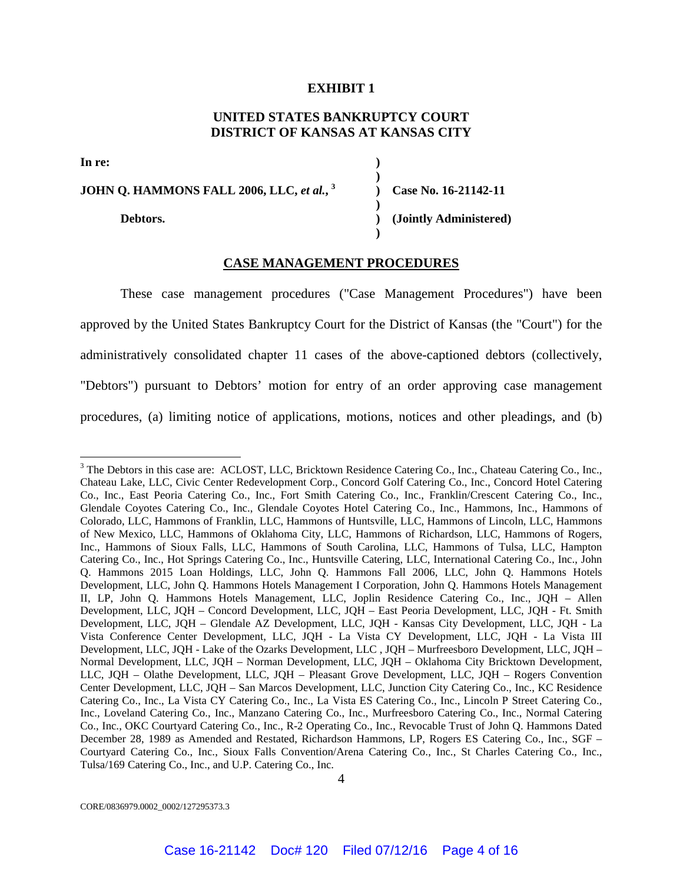#### **EXHIBIT 1**

# **UNITED STATES BANKRUPTCY COURT DISTRICT OF KANSAS AT KANSAS CITY**

**) )**

**)**

**)** 

**In re:** 

<u>.</u>

**JOHN Q. HAMMONS FALL 2006, LLC,** *et al.***, 3**

**Debtors.** 

**) Case No. 16-21142-11 ) (Jointly Administered)** 

## **CASE MANAGEMENT PROCEDURES**

These case management procedures ("Case Management Procedures") have been approved by the United States Bankruptcy Court for the District of Kansas (the "Court") for the administratively consolidated chapter 11 cases of the above-captioned debtors (collectively, "Debtors") pursuant to Debtors' motion for entry of an order approving case management procedures, (a) limiting notice of applications, motions, notices and other pleadings, and (b)

CORE/0836979.0002\_0002/127295373.3

4

<sup>&</sup>lt;sup>3</sup> The Debtors in this case are: ACLOST, LLC, Bricktown Residence Catering Co., Inc., Chateau Catering Co., Inc., Chateau Lake, LLC, Civic Center Redevelopment Corp., Concord Golf Catering Co., Inc., Concord Hotel Catering Co., Inc., East Peoria Catering Co., Inc., Fort Smith Catering Co., Inc., Franklin/Crescent Catering Co., Inc., Glendale Coyotes Catering Co., Inc., Glendale Coyotes Hotel Catering Co., Inc., Hammons, Inc., Hammons of Colorado, LLC, Hammons of Franklin, LLC, Hammons of Huntsville, LLC, Hammons of Lincoln, LLC, Hammons of New Mexico, LLC, Hammons of Oklahoma City, LLC, Hammons of Richardson, LLC, Hammons of Rogers, Inc., Hammons of Sioux Falls, LLC, Hammons of South Carolina, LLC, Hammons of Tulsa, LLC, Hampton Catering Co., Inc., Hot Springs Catering Co., Inc., Huntsville Catering, LLC, International Catering Co., Inc., John Q. Hammons 2015 Loan Holdings, LLC, John Q. Hammons Fall 2006, LLC, John Q. Hammons Hotels Development, LLC, John Q. Hammons Hotels Management I Corporation, John Q. Hammons Hotels Management II, LP, John Q. Hammons Hotels Management, LLC, Joplin Residence Catering Co., Inc., JQH – Allen Development, LLC, JQH – Concord Development, LLC, JQH – East Peoria Development, LLC, JQH - Ft. Smith Development, LLC, JQH – Glendale AZ Development, LLC, JQH - Kansas City Development, LLC, JQH - La Vista Conference Center Development, LLC, JQH - La Vista CY Development, LLC, JQH - La Vista III Development, LLC, JQH - Lake of the Ozarks Development, LLC , JQH – Murfreesboro Development, LLC, JQH – Normal Development, LLC, JQH – Norman Development, LLC, JQH – Oklahoma City Bricktown Development, LLC, JQH – Olathe Development, LLC, JQH – Pleasant Grove Development, LLC, JQH – Rogers Convention Center Development, LLC, JQH – San Marcos Development, LLC, Junction City Catering Co., Inc., KC Residence Catering Co., Inc., La Vista CY Catering Co., Inc., La Vista ES Catering Co., Inc., Lincoln P Street Catering Co., Inc., Loveland Catering Co., Inc., Manzano Catering Co., Inc., Murfreesboro Catering Co., Inc., Normal Catering Co., Inc., OKC Courtyard Catering Co., Inc., R-2 Operating Co., Inc., Revocable Trust of John Q. Hammons Dated December 28, 1989 as Amended and Restated, Richardson Hammons, LP, Rogers ES Catering Co., Inc., SGF – Courtyard Catering Co., Inc., Sioux Falls Convention/Arena Catering Co., Inc., St Charles Catering Co., Inc., Tulsa/169 Catering Co., Inc., and U.P. Catering Co., Inc.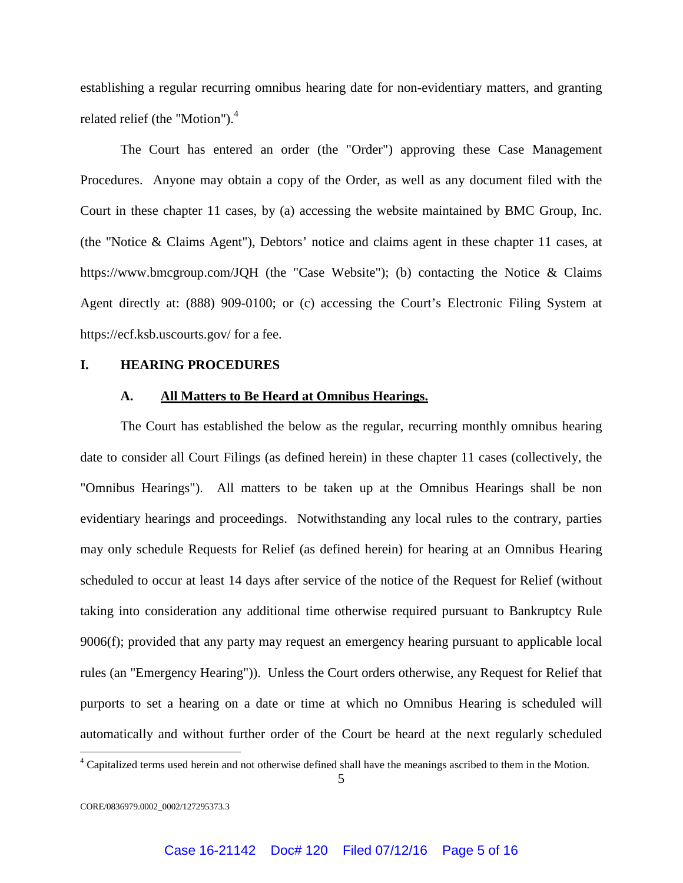establishing a regular recurring omnibus hearing date for non-evidentiary matters, and granting related relief (the "Motion").<sup>4</sup>

The Court has entered an order (the "Order") approving these Case Management Procedures. Anyone may obtain a copy of the Order, as well as any document filed with the Court in these chapter 11 cases, by (a) accessing the website maintained by BMC Group, Inc. (the "Notice & Claims Agent"), Debtors' notice and claims agent in these chapter 11 cases, at https://www.bmcgroup.com/JQH (the "Case Website"); (b) contacting the Notice & Claims Agent directly at: (888) 909-0100; or (c) accessing the Court's Electronic Filing System at https://ecf.ksb.uscourts.gov/ for a fee.

#### **I. HEARING PROCEDURES**

#### **A. All Matters to Be Heard at Omnibus Hearings.**

The Court has established the below as the regular, recurring monthly omnibus hearing date to consider all Court Filings (as defined herein) in these chapter 11 cases (collectively, the "Omnibus Hearings"). All matters to be taken up at the Omnibus Hearings shall be non evidentiary hearings and proceedings. Notwithstanding any local rules to the contrary, parties may only schedule Requests for Relief (as defined herein) for hearing at an Omnibus Hearing scheduled to occur at least 14 days after service of the notice of the Request for Relief (without taking into consideration any additional time otherwise required pursuant to Bankruptcy Rule 9006(f); provided that any party may request an emergency hearing pursuant to applicable local rules (an "Emergency Hearing")). Unless the Court orders otherwise, any Request for Relief that purports to set a hearing on a date or time at which no Omnibus Hearing is scheduled will automatically and without further order of the Court be heard at the next regularly scheduled

<u>.</u>

<sup>&</sup>lt;sup>4</sup> Capitalized terms used herein and not otherwise defined shall have the meanings ascribed to them in the Motion.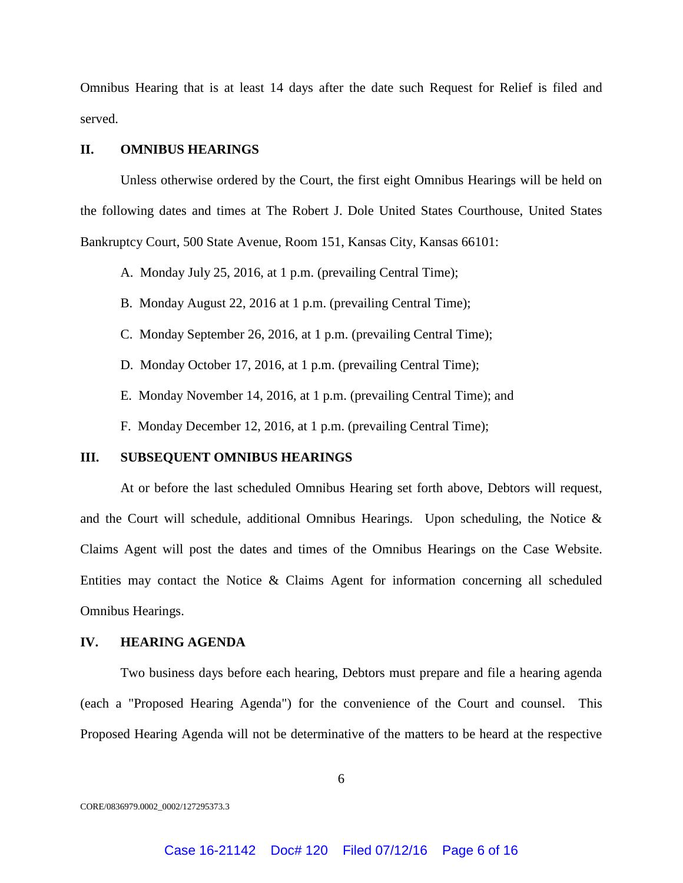Omnibus Hearing that is at least 14 days after the date such Request for Relief is filed and served.

## **II. OMNIBUS HEARINGS**

Unless otherwise ordered by the Court, the first eight Omnibus Hearings will be held on the following dates and times at The Robert J. Dole United States Courthouse, United States Bankruptcy Court, 500 State Avenue, Room 151, Kansas City, Kansas 66101:

A. Monday July 25, 2016, at 1 p.m. (prevailing Central Time);

B. Monday August 22, 2016 at 1 p.m. (prevailing Central Time);

C. Monday September 26, 2016, at 1 p.m. (prevailing Central Time);

D. Monday October 17, 2016, at 1 p.m. (prevailing Central Time);

E. Monday November 14, 2016, at 1 p.m. (prevailing Central Time); and

F. Monday December 12, 2016, at 1 p.m. (prevailing Central Time);

### **III. SUBSEQUENT OMNIBUS HEARINGS**

At or before the last scheduled Omnibus Hearing set forth above, Debtors will request, and the Court will schedule, additional Omnibus Hearings. Upon scheduling, the Notice & Claims Agent will post the dates and times of the Omnibus Hearings on the Case Website. Entities may contact the Notice & Claims Agent for information concerning all scheduled Omnibus Hearings.

## **IV. HEARING AGENDA**

Two business days before each hearing, Debtors must prepare and file a hearing agenda (each a "Proposed Hearing Agenda") for the convenience of the Court and counsel. This Proposed Hearing Agenda will not be determinative of the matters to be heard at the respective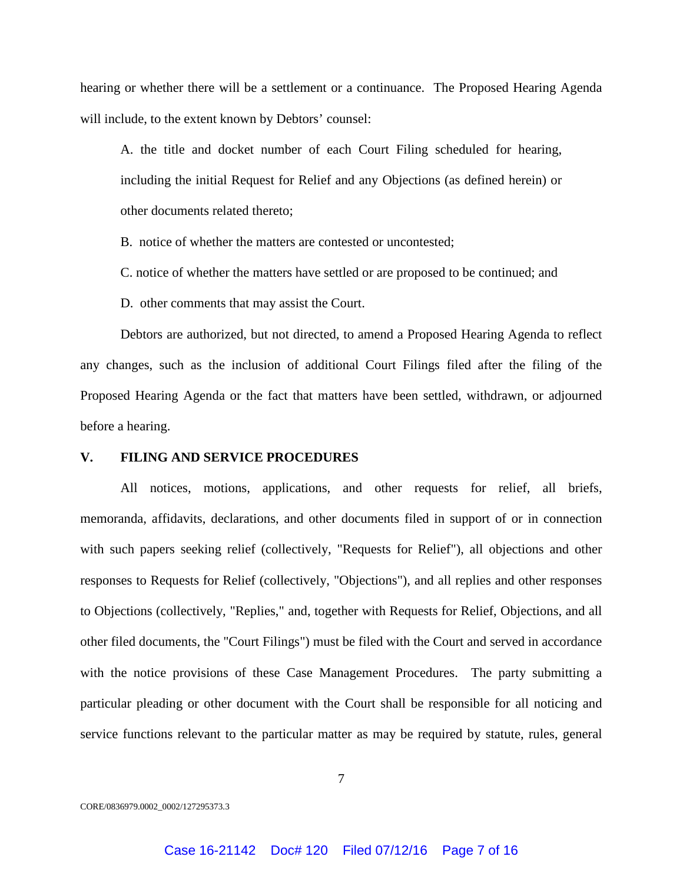hearing or whether there will be a settlement or a continuance. The Proposed Hearing Agenda will include, to the extent known by Debtors' counsel:

A. the title and docket number of each Court Filing scheduled for hearing, including the initial Request for Relief and any Objections (as defined herein) or other documents related thereto;

B. notice of whether the matters are contested or uncontested:

C. notice of whether the matters have settled or are proposed to be continued; and

D. other comments that may assist the Court.

Debtors are authorized, but not directed, to amend a Proposed Hearing Agenda to reflect any changes, such as the inclusion of additional Court Filings filed after the filing of the Proposed Hearing Agenda or the fact that matters have been settled, withdrawn, or adjourned before a hearing.

### **V. FILING AND SERVICE PROCEDURES**

All notices, motions, applications, and other requests for relief, all briefs, memoranda, affidavits, declarations, and other documents filed in support of or in connection with such papers seeking relief (collectively, "Requests for Relief"), all objections and other responses to Requests for Relief (collectively, "Objections"), and all replies and other responses to Objections (collectively, "Replies," and, together with Requests for Relief, Objections, and all other filed documents, the "Court Filings") must be filed with the Court and served in accordance with the notice provisions of these Case Management Procedures. The party submitting a particular pleading or other document with the Court shall be responsible for all noticing and service functions relevant to the particular matter as may be required by statute, rules, general

7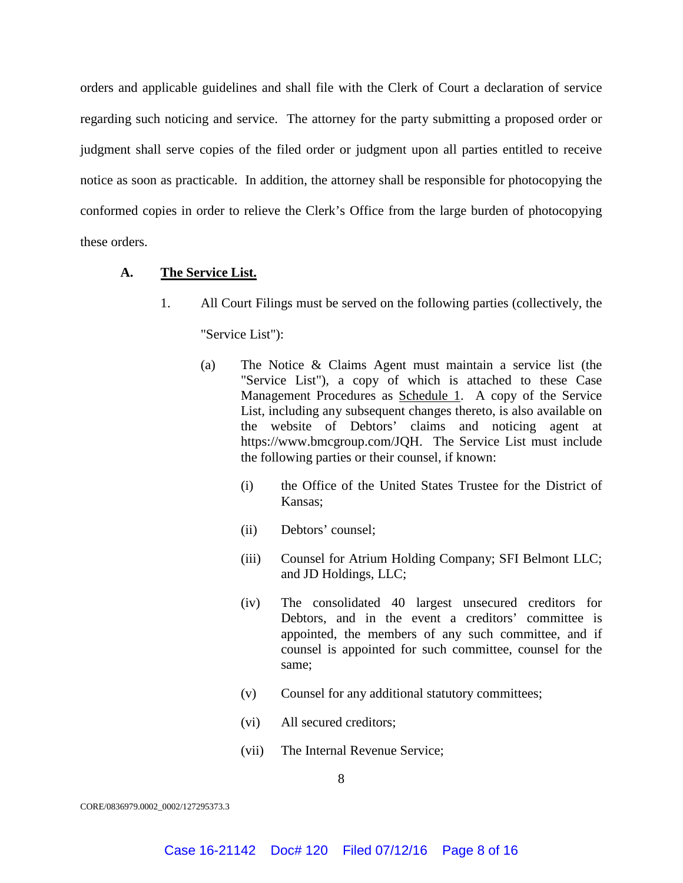orders and applicable guidelines and shall file with the Clerk of Court a declaration of service regarding such noticing and service. The attorney for the party submitting a proposed order or judgment shall serve copies of the filed order or judgment upon all parties entitled to receive notice as soon as practicable. In addition, the attorney shall be responsible for photocopying the conformed copies in order to relieve the Clerk's Office from the large burden of photocopying these orders.

**A. The Service List.** 

1. All Court Filings must be served on the following parties (collectively, the

"Service List"):

- (a) The Notice & Claims Agent must maintain a service list (the "Service List"), a copy of which is attached to these Case Management Procedures as Schedule 1. A copy of the Service List, including any subsequent changes thereto, is also available on the website of Debtors' claims and noticing agent at https://www.bmcgroup.com/JQH. The Service List must include the following parties or their counsel, if known:
	- (i) the Office of the United States Trustee for the District of Kansas;
	- (ii) Debtors' counsel;
	- (iii) Counsel for Atrium Holding Company; SFI Belmont LLC; and JD Holdings, LLC;
	- (iv) The consolidated 40 largest unsecured creditors for Debtors, and in the event a creditors' committee is appointed, the members of any such committee, and if counsel is appointed for such committee, counsel for the same;
	- (v) Counsel for any additional statutory committees;
	- (vi) All secured creditors;
	- (vii) The Internal Revenue Service;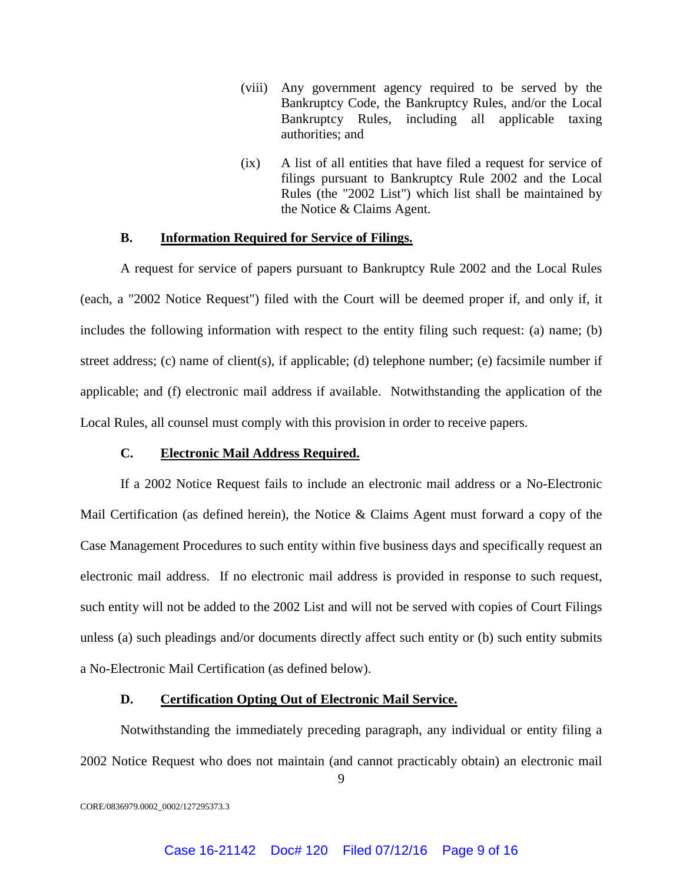- (viii) Any government agency required to be served by the Bankruptcy Code, the Bankruptcy Rules, and/or the Local Bankruptcy Rules, including all applicable taxing authorities; and
- (ix) A list of all entities that have filed a request for service of filings pursuant to Bankruptcy Rule 2002 and the Local Rules (the "2002 List") which list shall be maintained by the Notice & Claims Agent.

## **B. Information Required for Service of Filings.**

A request for service of papers pursuant to Bankruptcy Rule 2002 and the Local Rules (each, a "2002 Notice Request") filed with the Court will be deemed proper if, and only if, it includes the following information with respect to the entity filing such request: (a) name; (b) street address; (c) name of client(s), if applicable; (d) telephone number; (e) facsimile number if applicable; and (f) electronic mail address if available. Notwithstanding the application of the Local Rules, all counsel must comply with this provision in order to receive papers.

# **C. Electronic Mail Address Required.**

If a 2002 Notice Request fails to include an electronic mail address or a No-Electronic Mail Certification (as defined herein), the Notice & Claims Agent must forward a copy of the Case Management Procedures to such entity within five business days and specifically request an electronic mail address. If no electronic mail address is provided in response to such request, such entity will not be added to the 2002 List and will not be served with copies of Court Filings unless (a) such pleadings and/or documents directly affect such entity or (b) such entity submits a No-Electronic Mail Certification (as defined below).

## **D. Certification Opting Out of Electronic Mail Service.**

Notwithstanding the immediately preceding paragraph, any individual or entity filing a 2002 Notice Request who does not maintain (and cannot practicably obtain) an electronic mail

9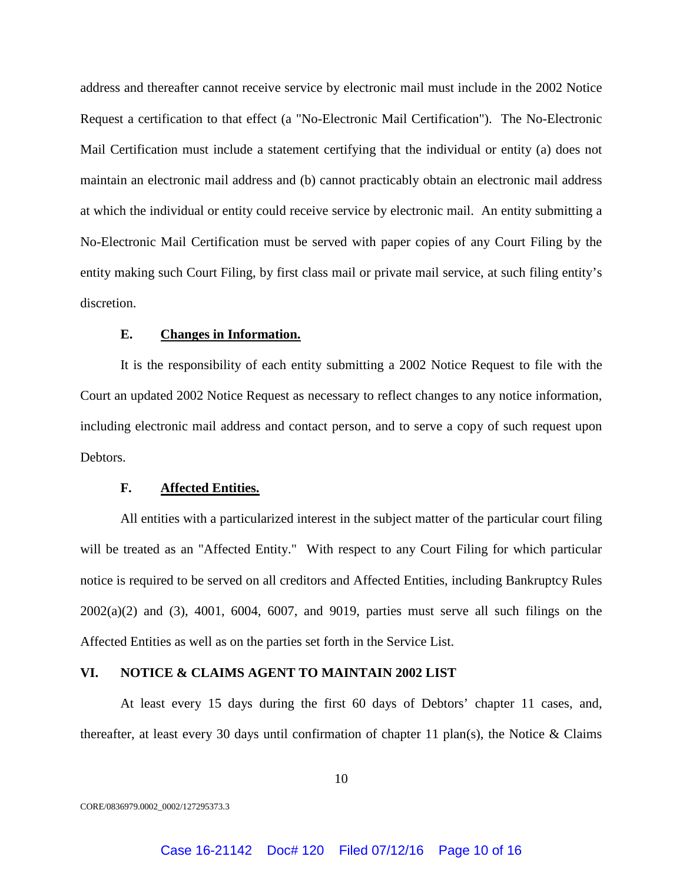address and thereafter cannot receive service by electronic mail must include in the 2002 Notice Request a certification to that effect (a "No-Electronic Mail Certification"). The No-Electronic Mail Certification must include a statement certifying that the individual or entity (a) does not maintain an electronic mail address and (b) cannot practicably obtain an electronic mail address at which the individual or entity could receive service by electronic mail. An entity submitting a No-Electronic Mail Certification must be served with paper copies of any Court Filing by the entity making such Court Filing, by first class mail or private mail service, at such filing entity's discretion.

## **E. Changes in Information.**

It is the responsibility of each entity submitting a 2002 Notice Request to file with the Court an updated 2002 Notice Request as necessary to reflect changes to any notice information, including electronic mail address and contact person, and to serve a copy of such request upon Debtors.

## **F. Affected Entities.**

All entities with a particularized interest in the subject matter of the particular court filing will be treated as an "Affected Entity." With respect to any Court Filing for which particular notice is required to be served on all creditors and Affected Entities, including Bankruptcy Rules 2002(a)(2) and (3), 4001, 6004, 6007, and 9019, parties must serve all such filings on the Affected Entities as well as on the parties set forth in the Service List.

## **VI. NOTICE & CLAIMS AGENT TO MAINTAIN 2002 LIST**

At least every 15 days during the first 60 days of Debtors' chapter 11 cases, and, thereafter, at least every 30 days until confirmation of chapter 11 plan(s), the Notice & Claims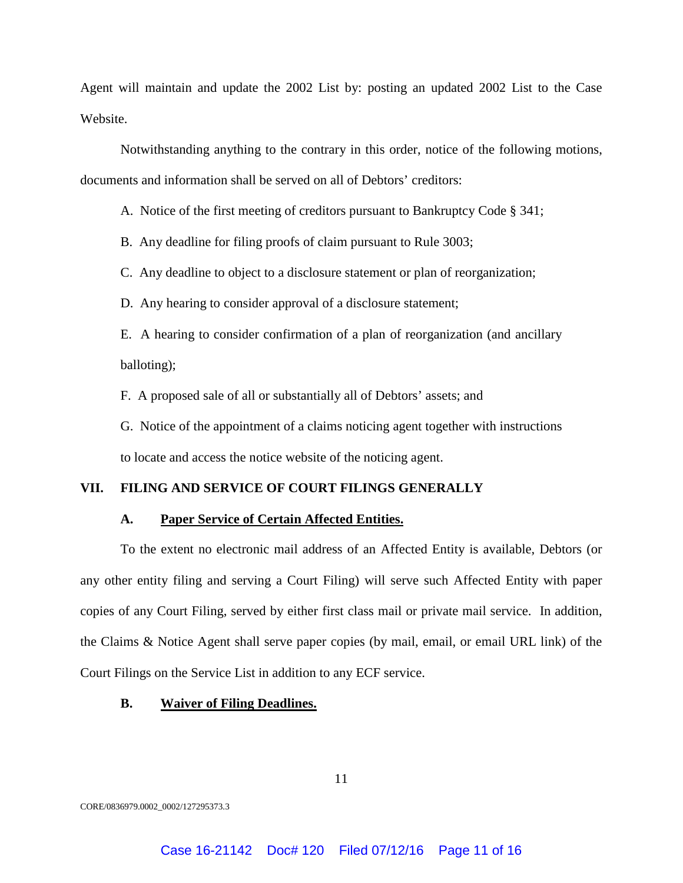Agent will maintain and update the 2002 List by: posting an updated 2002 List to the Case Website.

Notwithstanding anything to the contrary in this order, notice of the following motions, documents and information shall be served on all of Debtors' creditors:

A. Notice of the first meeting of creditors pursuant to Bankruptcy Code § 341;

B. Any deadline for filing proofs of claim pursuant to Rule 3003;

C. Any deadline to object to a disclosure statement or plan of reorganization;

D. Any hearing to consider approval of a disclosure statement;

E. A hearing to consider confirmation of a plan of reorganization (and ancillary balloting);

F. A proposed sale of all or substantially all of Debtors' assets; and

G. Notice of the appointment of a claims noticing agent together with instructions to locate and access the notice website of the noticing agent.

## **VII. FILING AND SERVICE OF COURT FILINGS GENERALLY**

#### **A. Paper Service of Certain Affected Entities.**

To the extent no electronic mail address of an Affected Entity is available, Debtors (or any other entity filing and serving a Court Filing) will serve such Affected Entity with paper copies of any Court Filing, served by either first class mail or private mail service. In addition, the Claims & Notice Agent shall serve paper copies (by mail, email, or email URL link) of the Court Filings on the Service List in addition to any ECF service.

### **B. Waiver of Filing Deadlines.**

11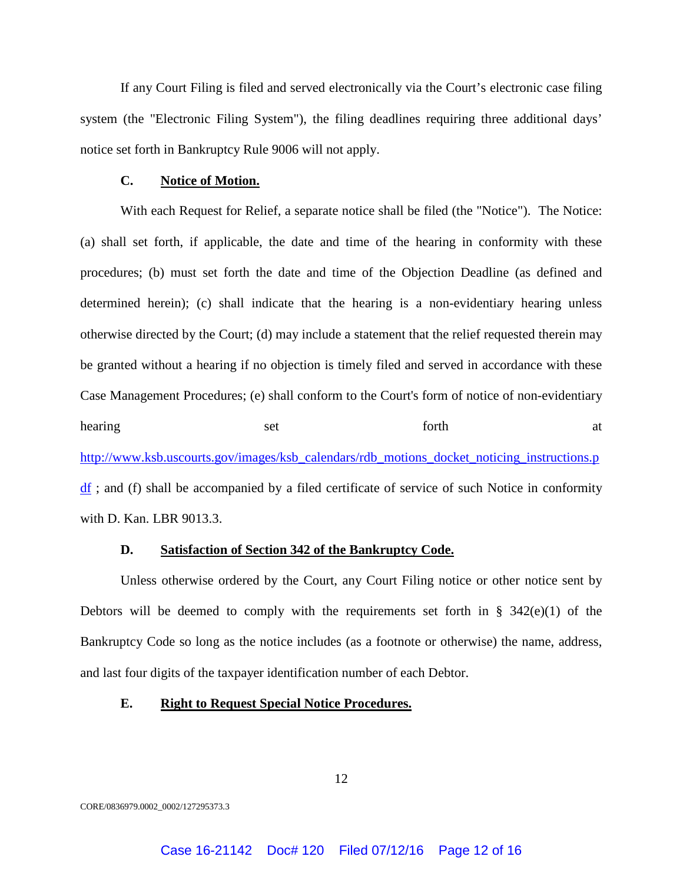If any Court Filing is filed and served electronically via the Court's electronic case filing system (the "Electronic Filing System"), the filing deadlines requiring three additional days' notice set forth in Bankruptcy Rule 9006 will not apply.

## **C. Notice of Motion.**

With each Request for Relief, a separate notice shall be filed (the "Notice"). The Notice: (a) shall set forth, if applicable, the date and time of the hearing in conformity with these procedures; (b) must set forth the date and time of the Objection Deadline (as defined and determined herein); (c) shall indicate that the hearing is a non-evidentiary hearing unless otherwise directed by the Court; (d) may include a statement that the relief requested therein may be granted without a hearing if no objection is timely filed and served in accordance with these Case Management Procedures; (e) shall conform to the Court's form of notice of non-evidentiary hearing set set forth at http://www.ksb.uscourts.gov/images/ksb\_calendars/rdb\_motions\_docket\_noticing\_instructions.p df ; and (f) shall be accompanied by a filed certificate of service of such Notice in conformity with D. Kan. LBR 9013.3.

## **D. Satisfaction of Section 342 of the Bankruptcy Code.**

Unless otherwise ordered by the Court, any Court Filing notice or other notice sent by Debtors will be deemed to comply with the requirements set forth in  $\S$  342(e)(1) of the Bankruptcy Code so long as the notice includes (as a footnote or otherwise) the name, address, and last four digits of the taxpayer identification number of each Debtor.

#### **E. Right to Request Special Notice Procedures.**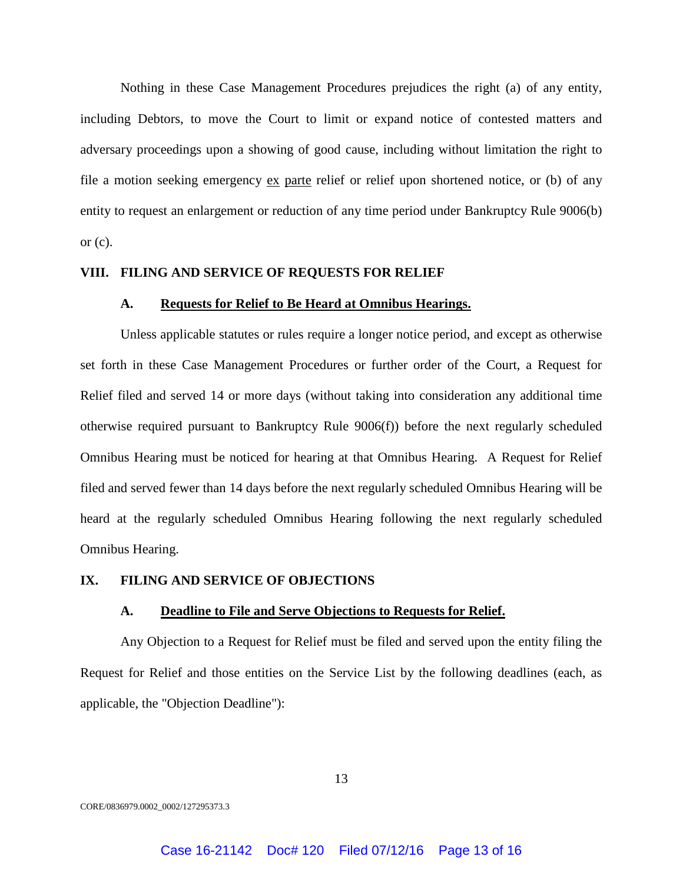Nothing in these Case Management Procedures prejudices the right (a) of any entity, including Debtors, to move the Court to limit or expand notice of contested matters and adversary proceedings upon a showing of good cause, including without limitation the right to file a motion seeking emergency ex parte relief or relief upon shortened notice, or (b) of any entity to request an enlargement or reduction of any time period under Bankruptcy Rule 9006(b) or  $(c)$ .

### **VIII. FILING AND SERVICE OF REQUESTS FOR RELIEF**

#### **A. Requests for Relief to Be Heard at Omnibus Hearings.**

Unless applicable statutes or rules require a longer notice period, and except as otherwise set forth in these Case Management Procedures or further order of the Court, a Request for Relief filed and served 14 or more days (without taking into consideration any additional time otherwise required pursuant to Bankruptcy Rule 9006(f)) before the next regularly scheduled Omnibus Hearing must be noticed for hearing at that Omnibus Hearing. A Request for Relief filed and served fewer than 14 days before the next regularly scheduled Omnibus Hearing will be heard at the regularly scheduled Omnibus Hearing following the next regularly scheduled Omnibus Hearing.

### **IX. FILING AND SERVICE OF OBJECTIONS**

#### **A. Deadline to File and Serve Objections to Requests for Relief.**

Any Objection to a Request for Relief must be filed and served upon the entity filing the Request for Relief and those entities on the Service List by the following deadlines (each, as applicable, the "Objection Deadline"):

13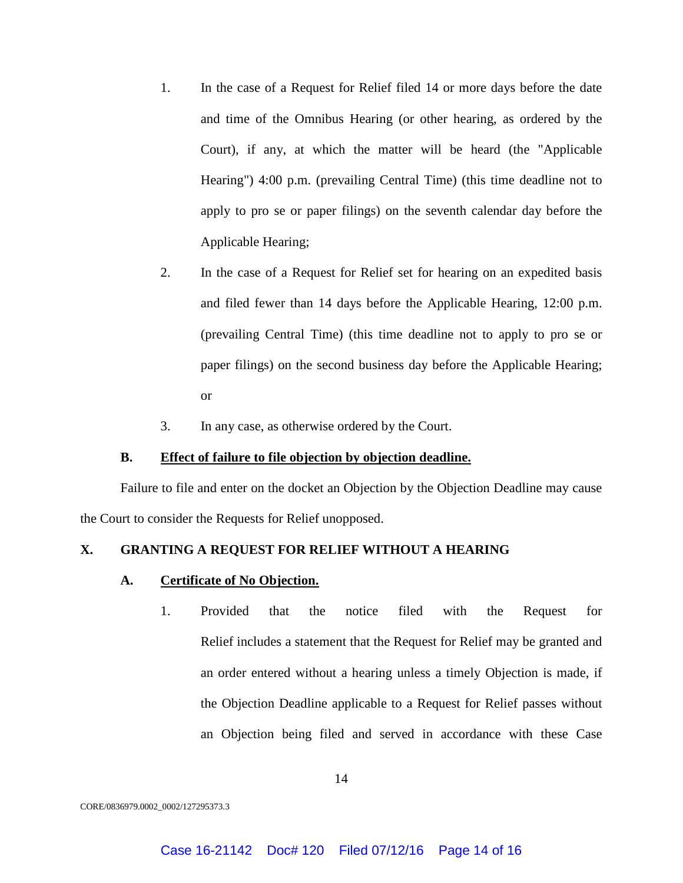- 1. In the case of a Request for Relief filed 14 or more days before the date and time of the Omnibus Hearing (or other hearing, as ordered by the Court), if any, at which the matter will be heard (the "Applicable Hearing") 4:00 p.m. (prevailing Central Time) (this time deadline not to apply to pro se or paper filings) on the seventh calendar day before the Applicable Hearing;
- 2. In the case of a Request for Relief set for hearing on an expedited basis and filed fewer than 14 days before the Applicable Hearing, 12:00 p.m. (prevailing Central Time) (this time deadline not to apply to pro se or paper filings) on the second business day before the Applicable Hearing; or
- 3. In any case, as otherwise ordered by the Court.

## **B. Effect of failure to file objection by objection deadline.**

Failure to file and enter on the docket an Objection by the Objection Deadline may cause the Court to consider the Requests for Relief unopposed.

## **X. GRANTING A REQUEST FOR RELIEF WITHOUT A HEARING**

## **A. Certificate of No Objection.**

1. Provided that the notice filed with the Request for Relief includes a statement that the Request for Relief may be granted and an order entered without a hearing unless a timely Objection is made, if the Objection Deadline applicable to a Request for Relief passes without an Objection being filed and served in accordance with these Case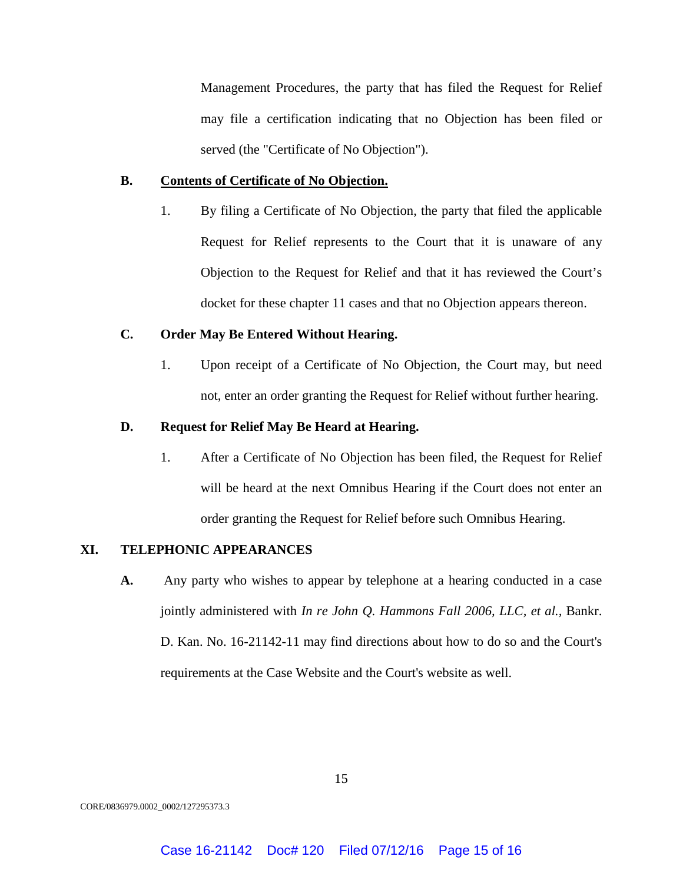Management Procedures, the party that has filed the Request for Relief may file a certification indicating that no Objection has been filed or served (the "Certificate of No Objection").

## **B. Contents of Certificate of No Objection.**

1. By filing a Certificate of No Objection, the party that filed the applicable Request for Relief represents to the Court that it is unaware of any Objection to the Request for Relief and that it has reviewed the Court's docket for these chapter 11 cases and that no Objection appears thereon.

# **C. Order May Be Entered Without Hearing.**

1. Upon receipt of a Certificate of No Objection, the Court may, but need not, enter an order granting the Request for Relief without further hearing.

## **D. Request for Relief May Be Heard at Hearing.**

1. After a Certificate of No Objection has been filed, the Request for Relief will be heard at the next Omnibus Hearing if the Court does not enter an order granting the Request for Relief before such Omnibus Hearing.

## **XI. TELEPHONIC APPEARANCES**

**A.** Any party who wishes to appear by telephone at a hearing conducted in a case jointly administered with *In re John Q. Hammons Fall 2006, LLC, et al.,* Bankr. D. Kan. No. 16-21142-11 may find directions about how to do so and the Court's requirements at the Case Website and the Court's website as well.

15